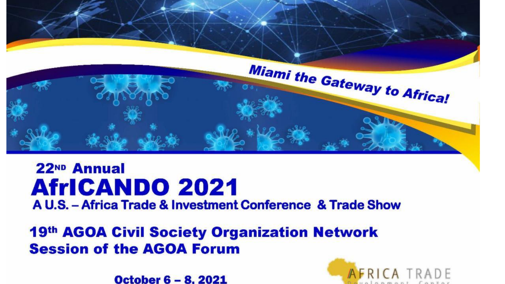

#### 22ND Annual **AfricANDO 2021** A U.S. - Africa Trade & Investment Conference & Trade Show

19th AGOA Civil Society Organization Network **Session of the AGOA Forum** 

**October 6 – 8, 2021** 

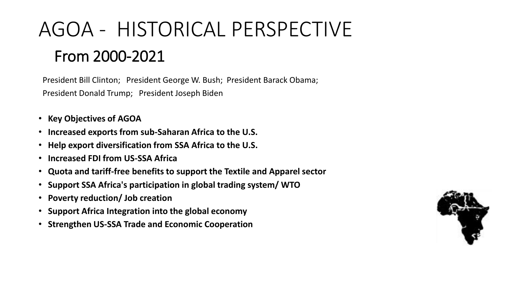# AGOA - HISTORICAL PERSPECTIVE From 2000-2021

President Bill Clinton; President George W. Bush; President Barack Obama; President Donald Trump; President Joseph Biden

- **Key Objectives of AGOA**
- **Increased exports from sub-Saharan Africa to the U.S.**
- **Help export diversification from SSA Africa to the U.S.**
- **Increased FDI from US-SSA Africa**
- **Quota and tariff-free benefits to support the Textile and Apparel sector**
- **Support SSA Africa's participation in global trading system/ WTO**
- **Poverty reduction/ Job creation**
- **Support Africa Integration into the global economy**
- **Strengthen US-SSA Trade and Economic Cooperation**

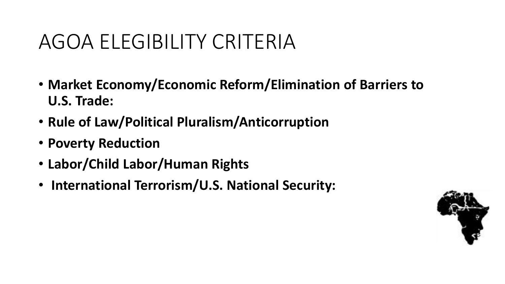## AGOA ELEGIBILITY CRITERIA

- **Market Economy/Economic Reform/Elimination of Barriers to U.S. Trade:**
- **Rule of Law/Political Pluralism/Anticorruption**
- **Poverty Reduction**
- **Labor/Child Labor/Human Rights**
- **International Terrorism/U.S. National Security:**

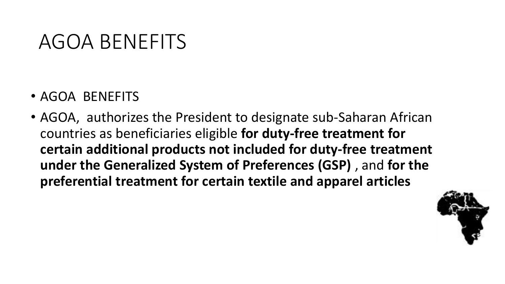#### AGOA BENEFITS

- AGOA BENEFITS
- AGOA, authorizes the President to designate sub-Saharan African countries as beneficiaries eligible **for duty-free treatment for certain additional products not included for duty-free treatment under the Generalized System of Preferences (GSP)** , and **for the preferential treatment for certain textile and apparel articles**

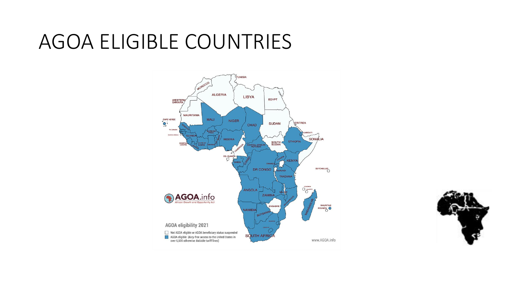#### AGOA ELIGIBLE COUNTRIES



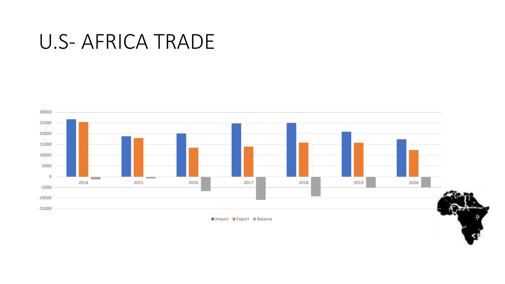#### U.S- AFRICA TRADE



■ Import ■ Export ■ Balance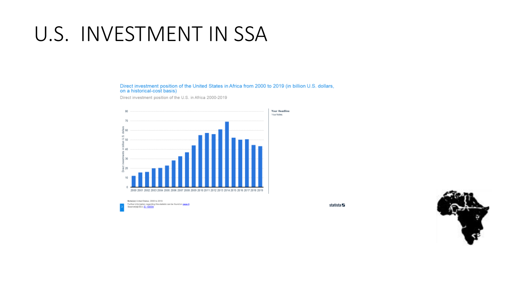## U.S. INVESTMENT IN SSA

Direct investment position of the United States in Africa from 2000 to 2019 (in billion U.S. dollars, on a historical-cost basis)

Direct investment position of the U.S. in Africa 2000-2019



statista **∠** 

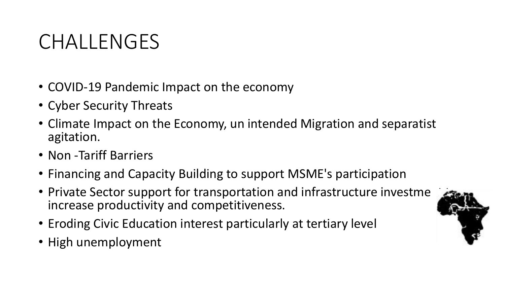## CHALLENGES

- COVID-19 Pandemic Impact on the economy
- Cyber Security Threats
- Climate Impact on the Economy, un intended Migration and separatist agitation.
- Non -Tariff Barriers
- Financing and Capacity Building to support MSME's participation
- Private Sector support for transportation and infrastructure investme increase productivity and competitiveness.
- Eroding Civic Education interest particularly at tertiary level
- High unemployment

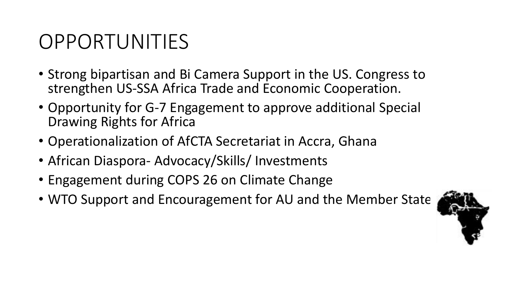## OPPORTUNITIES

- Strong bipartisan and Bi Camera Support in the US. Congress to strengthen US-SSA Africa Trade and Economic Cooperation.
- Opportunity for G-7 Engagement to approve additional Special Drawing Rights for Africa
- Operationalization of AfCTA Secretariat in Accra, Ghana
- African Diaspora- Advocacy/Skills/ Investments
- Engagement during COPS 26 on Climate Change
- WTO Support and Encouragement for AU and the Member State

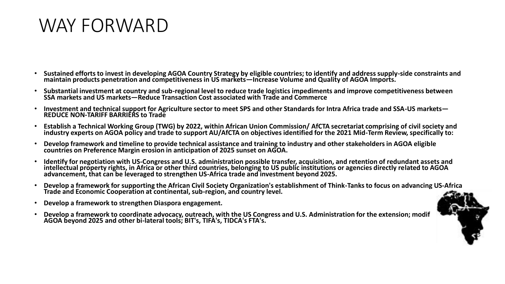#### WAY FORWARD

- **Sustained efforts to invest in developing AGOA Country Strategy by eligible countries; to identify and address supply-side constraints and maintain products penetration and competitiveness in US markets—Increase Volume and Quality of AGOA Imports.**
- **Substantial investment at country and sub-regional level to reduce trade logistics impediments and improve competitiveness between SSA markets and US markets—Reduce Transaction Cost associated with Trade and Commerce**
- **Investment and technical support for Agriculture sector to meet SPS and other Standards for Intra Africa trade and SSA-US markets— REDUCE NON-TARIFF BARRIERS to Trade**
- **Establish a Technical Working Group (TWG) by 2022, within African Union Commission/ AfCTA secretariat comprising of civil society and industry experts on AGOA policy and trade to support AU/AfCTA on objectives identified for the 2021 Mid-Term Review, specifically to:**
- **Develop framework and timeline to provide technical assistance and training to industry and other stakeholders in AGOA eligible countries on Preference Margin erosion in anticipation of 2025 sunset on AGOA.**
- **Identify for negotiation with US-Congress and U.S. administration possible transfer, acquisition, and retention of redundant assets and intellectual property rights, in Africa or other third countries, belonging to US public institutions or agencies directly related to AGOA advancement, that can be leveraged to strengthen US-Africa trade and investment beyond 2025.**
- **Develop a framework for supporting the African Civil Society Organization's establishment of Think-Tanks to focus on advancing US-Africa Trade and Economic Cooperation at continental, sub-region, and country level.**
- **Develop a framework to strengthen Diaspora engagement.**
- **Develop a framework to coordinate advocacy, outreach, with the US Congress and U.S. Administration for the extension; modification; of AGOA beyond 2025 and other bi-lateral tools; BIT's, TIFA's, TIDCA's FTA's.**